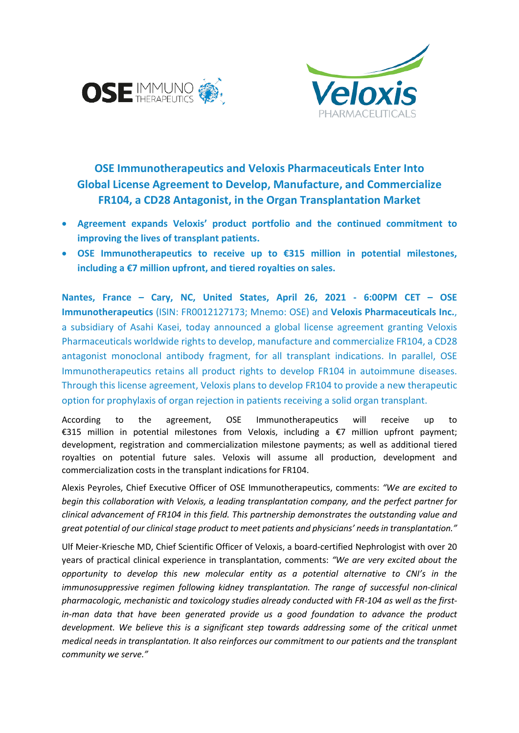



**OSE Immunotherapeutics and Veloxis Pharmaceuticals Enter Into Global License Agreement to Develop, Manufacture, and Commercialize FR104, a CD28 Antagonist, in the Organ Transplantation Market** 

- **Agreement expands Veloxis' product portfolio and the continued commitment to improving the lives of transplant patients.**
- **OSE Immunotherapeutics to receive up to €315 million in potential milestones, including a €7 million upfront, and tiered royalties on sales.**

**Nantes, France – Cary, NC, United States, April 26, 2021 - 6:00PM CET – OSE Immunotherapeutics** (ISIN: FR0012127173; Mnemo: OSE) and **Veloxis Pharmaceuticals Inc.**, a subsidiary of Asahi Kasei, today announced a global license agreement granting Veloxis Pharmaceuticals worldwide rights to develop, manufacture and commercialize FR104, a CD28 antagonist monoclonal antibody fragment, for all transplant indications. In parallel, OSE Immunotherapeutics retains all product rights to develop FR104 in autoimmune diseases. Through this license agreement, Veloxis plans to develop FR104 to provide a new therapeutic option for prophylaxis of organ rejection in patients receiving a solid organ transplant.

According to the agreement, OSE Immunotherapeutics will receive up to €315 million in potential milestones from Veloxis, including a €7 million upfront payment; development, registration and commercialization milestone payments; as well as additional tiered royalties on potential future sales. Veloxis will assume all production, development and commercialization costs in the transplant indications for FR104.

Alexis Peyroles, Chief Executive Officer of OSE Immunotherapeutics, comments: *"We are excited to begin this collaboration with Veloxis, a leading transplantation company, and the perfect partner for clinical advancement of FR104 in this field. This partnership demonstrates the outstanding value and great potential of our clinical stage product to meet patients and physicians' needs in transplantation."*

Ulf Meier-Kriesche MD, Chief Scientific Officer of Veloxis, a board-certified Nephrologist with over 20 years of practical clinical experience in transplantation, comments: *"We are very excited about the opportunity to develop this new molecular entity as a potential alternative to CNI's in the immunosuppressive regimen following kidney transplantation. The range of successful non-clinical pharmacologic, mechanistic and toxicology studies already conducted with FR-104 as well as the firstin-man data that have been generated provide us a good foundation to advance the product development. We believe this is a significant step towards addressing some of the critical unmet medical needs in transplantation. It also reinforces our commitment to our patients and the transplant community we serve."*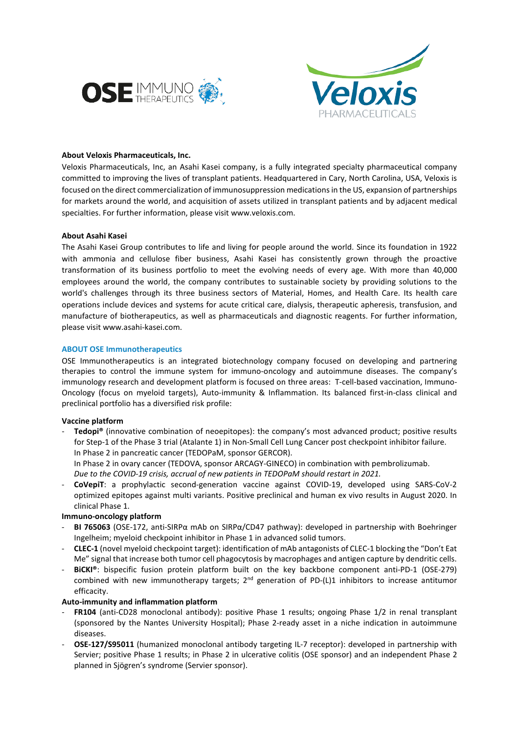



# **About Veloxis Pharmaceuticals, Inc.**

Veloxis Pharmaceuticals, Inc, an Asahi Kasei company, is a fully integrated specialty pharmaceutical company committed to improving the lives of transplant patients. Headquartered in Cary, North Carolina, USA, Veloxis is focused on the direct commercialization of immunosuppression medications in the US, expansion of partnerships for markets around the world, and acquisition of assets utilized in transplant patients and by adjacent medical specialties. For further information, please visit www.veloxis.com.

#### **About Asahi Kasei**

The Asahi Kasei Group contributes to life and living for people around the world. Since its foundation in 1922 with ammonia and cellulose fiber business, Asahi Kasei has consistently grown through the proactive transformation of its business portfolio to meet the evolving needs of every age. With more than 40,000 employees around the world, the company contributes to sustainable society by providing solutions to the world's challenges through its three business sectors of Material, Homes, and Health Care. Its health care operations include devices and systems for acute critical care, dialysis, therapeutic apheresis, transfusion, and manufacture of biotherapeutics, as well as pharmaceuticals and diagnostic reagents. For further information, please visit www.asahi-kasei.com.

#### **ABOUT OSE Immunotherapeutics**

OSE Immunotherapeutics is an integrated biotechnology company focused on developing and partnering therapies to control the immune system for immuno-oncology and autoimmune diseases. The company's immunology research and development platform is focused on three areas: T-cell-based vaccination, Immuno-Oncology (focus on myeloid targets), Auto-immunity & Inflammation. Its balanced first-in-class clinical and preclinical portfolio has a diversified risk profile:

# **Vaccine platform**

- **Tedopi<sup>®</sup>** (innovative combination of neoepitopes): the company's most advanced product; positive results for Step-1 of the Phase 3 trial (Atalante 1) in Non-Small Cell Lung Cancer post checkpoint inhibitor failure. In Phase 2 in pancreatic cancer (TEDOPaM, sponsor GERCOR). In Phase 2 in ovary cancer (TEDOVA, sponsor ARCAGY-GINECO) in combination with pembrolizumab. *Due to the COVID-19 crisis, accrual of new patients in TEDOPaM should restart in 2021.*
- **CoVepiT**: a prophylactic second-generation vaccine against COVID-19, developed using SARS-CoV-2 optimized epitopes against multi variants. Positive preclinical and human ex vivo results in August 2020. In clinical Phase 1.

# **Immuno-oncology platform**

- **BI 765063** (OSE-172, anti-SIRPα mAb on SIRPα/CD47 pathway): developed in partnership with Boehringer Ingelheim; myeloid checkpoint inhibitor in Phase 1 in advanced solid tumors.
- **CLEC-1** (novel myeloid checkpoint target): identification of mAb antagonists of CLEC-1 blocking the "Don't Eat Me" signal that increase both tumor cell phagocytosis by macrophages and antigen capture by dendritic cells.
- BiCKI<sup>®</sup>: bispecific fusion protein platform built on the key backbone component anti-PD-1 (OSE-279) combined with new immunotherapy targets;  $2^{nd}$  generation of PD-(L)1 inhibitors to increase antitumor efficacity.

# **Auto-immunity and inflammation platform**

- **FR104** (anti-CD28 monoclonal antibody): positive Phase 1 results; ongoing Phase 1/2 in renal transplant (sponsored by the Nantes University Hospital); Phase 2-ready asset in a niche indication in autoimmune diseases.
- **OSE-127/S95011** (humanized monoclonal antibody targeting IL-7 receptor): developed in partnership with Servier; positive Phase 1 results; in Phase 2 in ulcerative colitis (OSE sponsor) and an independent Phase 2 planned in Sjögren's syndrome (Servier sponsor).